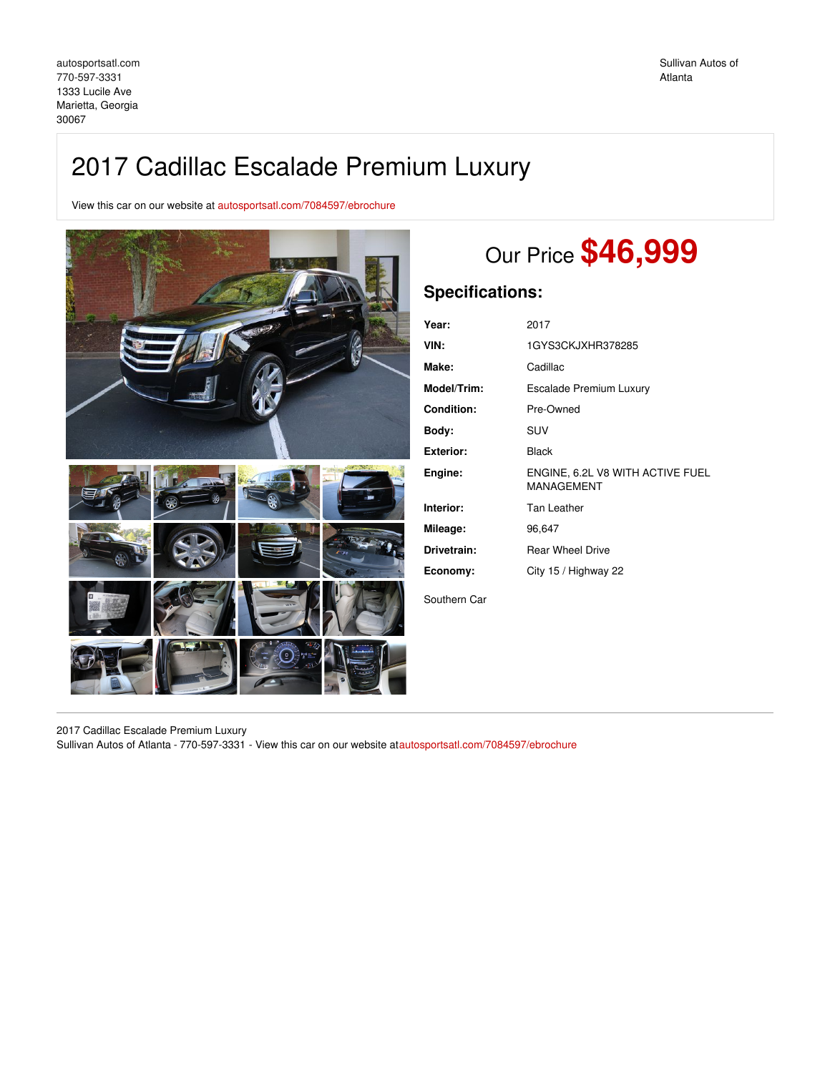# 2017 Cadillac Escalade Premium Luxury

View this car on our website at [autosportsatl.com/7084597/ebrochure](https://autosportsatl.com/vehicle/7084597/2017-cadillac-escalade-premium-luxury-marietta-georgia-30067/7084597/ebrochure)



# Our Price **\$46,999**

# **Specifications:**

| Year:            | 2017                                           |
|------------------|------------------------------------------------|
| VIN:             | 1GYS3CKJXHR378285                              |
| Make:            | Cadillac                                       |
| Model/Trim:      | Escalade Premium Luxury                        |
| Condition:       | Pre-Owned                                      |
| Body:            | SUV                                            |
| <b>Exterior:</b> | <b>Black</b>                                   |
| Engine:          | ENGINE, 6.2L V8 WITH ACTIVE FUEL<br>MANAGEMENT |
| Interior:        | Tan Leather                                    |
| Mileage:         | 96,647                                         |
| Drivetrain:      | <b>Rear Wheel Drive</b>                        |
| Economy:         | City 15 / Highway 22                           |
| Southern Car     |                                                |

2017 Cadillac Escalade Premium Luxury Sullivan Autos of Atlanta - 770-597-3331 - View this car on our website a[tautosportsatl.com/7084597/ebrochure](https://autosportsatl.com/vehicle/7084597/2017-cadillac-escalade-premium-luxury-marietta-georgia-30067/7084597/ebrochure)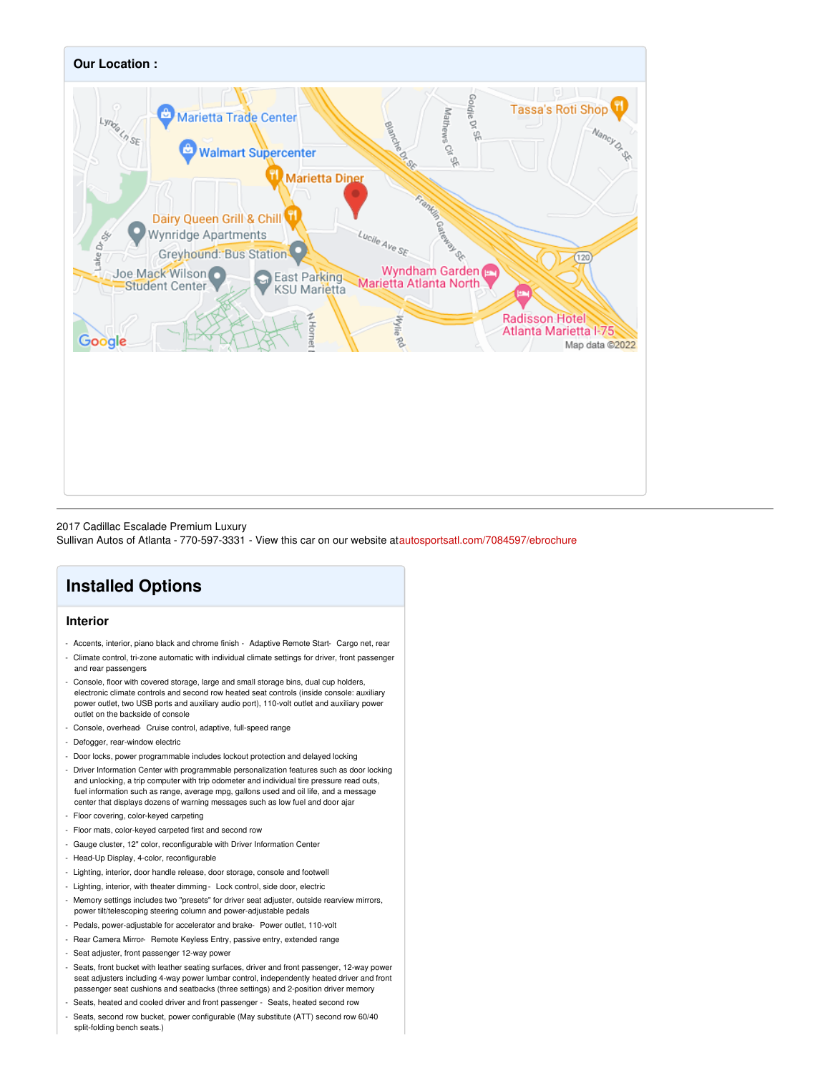

#### 2017 Cadillac Escalade Premium Luxury

Sullivan Autos of Atlanta - 770-597-3331 - View this car on our website a[tautosportsatl.com/7084597/ebrochure](https://autosportsatl.com/vehicle/7084597/2017-cadillac-escalade-premium-luxury-marietta-georgia-30067/7084597/ebrochure)

# **Installed Options**

### **Interior**

- Accents, interior, piano black and chrome finish Adaptive Remote Start- Cargo net, rear
- Climate control, tri-zone automatic with individual climate settings for driver, front passenger and rear passengers
- Console, floor with covered storage, large and small storage bins, dual cup holders, electronic climate controls and second row heated seat controls (inside console: auxiliary power outlet, two USB ports and auxiliary audio port), 110-volt outlet and auxiliary power outlet on the backside of console
- Console, overhead- Cruise control, adaptive, full-speed range
- Defogger, rear-window electric
- Door locks, power programmable includes lockout protection and delayed locking
- Driver Information Center with programmable personalization features such as door locking and unlocking, a trip computer with trip odometer and individual tire pressure read outs, fuel information such as range, average mpg, gallons used and oil life, and a message center that displays dozens of warning messages such as low fuel and door ajar
- Floor covering, color-keyed carpeting
- Floor mats, color-keyed carpeted first and second row
- Gauge cluster, 12" color, reconfigurable with Driver Information Center
- Head-Up Display, 4-color, reconfigurable
- Lighting, interior, door handle release, door storage, console and footwell
- Lighting, interior, with theater dimming- Lock control, side door, electric
- Memory settings includes two "presets" for driver seat adjuster, outside rearview mirrors, power tilt/telescoping steering column and power-adjustable pedals
- Pedals, power-adjustable for accelerator and brake- Power outlet, 110-volt
- Rear Camera Mirror- Remote Keyless Entry, passive entry, extended range
- Seat adjuster, front passenger 12-way power
- Seats, front bucket with leather seating surfaces, driver and front passenger, 12-way power seat adjusters including 4-way power lumbar control, independently heated driver and front passenger seat cushions and seatbacks (three settings) and 2-position driver memory
- Seats, heated and cooled driver and front passenger Seats, heated second row
- Seats, second row bucket, power configurable (May substitute (ATT) second row 60/40 split-folding bench seats.)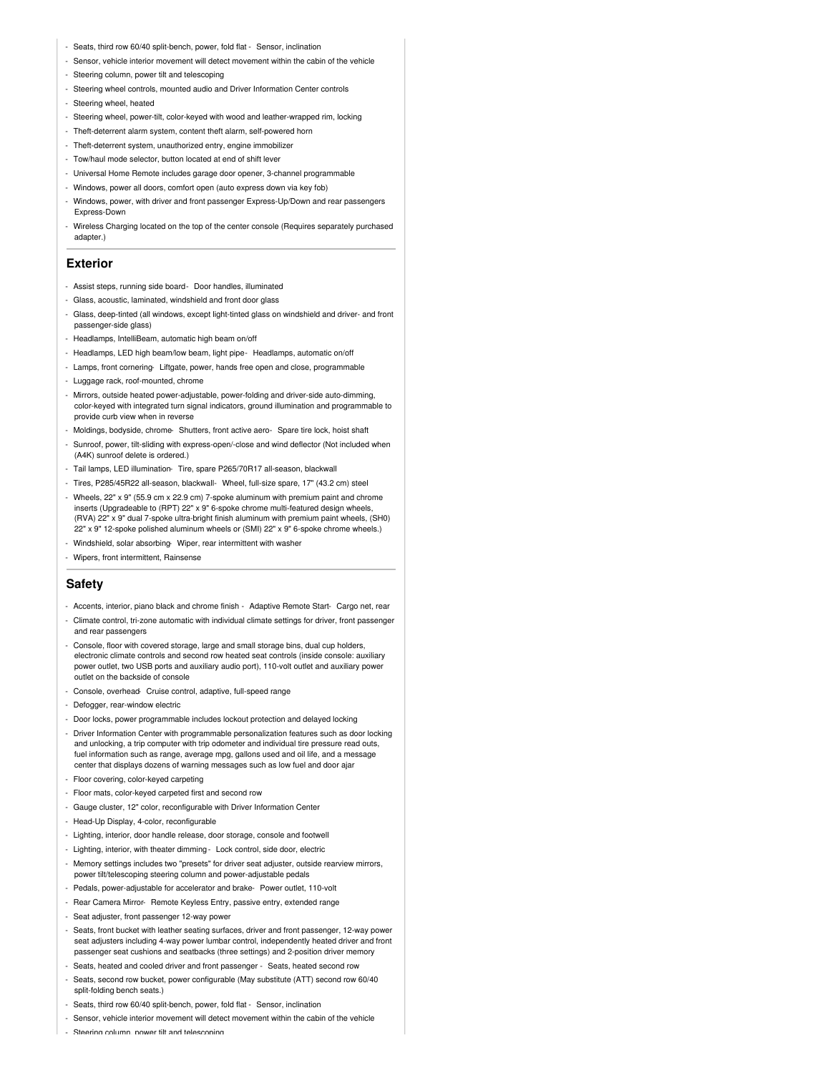- Seats, third row 60/40 split-bench, power, fold flat Sensor, inclination
- Sensor, vehicle interior movement will detect movement within the cabin of the vehicle
- Steering column, power tilt and telescoping
- Steering wheel controls, mounted audio and Driver Information Center controls
- Steering wheel, heated
- Steering wheel, power-tilt, color-keyed with wood and leather-wrapped rim, locking
- Theft-deterrent alarm system, content theft alarm, self-powered horn
- Theft-deterrent system, unauthorized entry, engine immobilizer
- Tow/haul mode selector, button located at end of shift lever
- Universal Home Remote includes garage door opener, 3-channel programmable
- Windows, power all doors, comfort open (auto express down via key fob)
- Windows, power, with driver and front passenger Express-Up/Down and rear passengers Express-Down
- Wireless Charging located on the top of the center console (Requires separately purchased adapter.)

#### **Exterior**

- Assist steps, running side board- Door handles, illuminated
- Glass, acoustic, laminated, windshield and front door glass
- Glass, deep-tinted (all windows, except light-tinted glass on windshield and driver- and front passenger-side glass)
- Headlamps, IntelliBeam, automatic high beam on/off
- Headlamps, LED high beam/low beam, light pipe- Headlamps, automatic on/off
- Lamps, front cornering- Liftgate, power, hands free open and close, programmable
- Luggage rack, roof-mounted, chrome
- Mirrors, outside heated power-adjustable, power-folding and driver-side auto-dimming, color-keyed with integrated turn signal indicators, ground illumination and programmable to provide curb view when in reverse
- Moldings, bodyside, chrome- Shutters, front active aero- Spare tire lock, hoist shaft
- Sunroof, power, tilt-sliding with express-open/-close and wind deflector (Not included when (A4K) sunroof delete is ordered.)
- Tail lamps, LED illumination- Tire, spare P265/70R17 all-season, blackwall
- Tires, P285/45R22 all-season, blackwall- Wheel, full-size spare, 17" (43.2 cm) steel
- Wheels, 22" x 9" (55.9 cm x 22.9 cm) 7-spoke aluminum with premium paint and chrome inserts (Upgradeable to (RPT) 22" x 9" 6-spoke chrome multi-featured design wheels, (RVA) 22" x 9" dual 7-spoke ultra-bright finish aluminum with premium paint wheels, (SH0) 22" x 9" 12-spoke polished aluminum wheels or (SMI) 22" x 9" 6-spoke chrome wheels.)
- Windshield, solar absorbing- Wiper, rear intermittent with washer
- Wipers, front intermittent, Rainsense

### **Safety**

- Accents, interior, piano black and chrome finish Adaptive Remote Start- Cargo net, rear
- Climate control, tri-zone automatic with individual climate settings for driver, front passenger and rear passengers
- Console, floor with covered storage, large and small storage bins, dual cup holders, electronic climate controls and second row heated seat controls (inside console: auxiliary power outlet, two USB ports and auxiliary audio port), 110-volt outlet and auxiliary power outlet on the backside of console
- Console, overhead- Cruise control, adaptive, full-speed range
- Defogger, rear-window electric
- Door locks, power programmable includes lockout protection and delayed locking
- Driver Information Center with programmable personalization features such as door locking and unlocking, a trip computer with trip odometer and individual tire pressure read outs, fuel information such as range, average mpg, gallons used and oil life, and a message center that displays dozens of warning messages such as low fuel and door ajar
- Floor covering, color-keyed carpeting
- Floor mats, color-keyed carpeted first and second row
- Gauge cluster, 12" color, reconfigurable with Driver Information Center
- Head-Up Display, 4-color, reconfigurable
- Lighting, interior, door handle release, door storage, console and footwell
- Lighting, interior, with theater dimming- Lock control, side door, electric
- Memory settings includes two "presets" for driver seat adjuster, outside rearview mirrors, power tilt/telescoping steering column and power-adjustable pedals
- Pedals, power-adjustable for accelerator and brake- Power outlet, 110-volt
- Rear Camera Mirror- Remote Keyless Entry, passive entry, extended range
- Seat adjuster, front passenger 12-way power
- Seats, front bucket with leather seating surfaces, driver and front passenger, 12-way power seat adjusters including 4-way power lumbar control, independently heated driver and front passenger seat cushions and seatbacks (three settings) and 2-position driver memory
- Seats, heated and cooled driver and front passenger Seats, heated second row
- Seats, second row bucket, power configurable (May substitute (ATT) second row 60/40 split-folding bench seats.)
- Seats, third row 60/40 split-bench, power, fold flat Sensor, inclination
- Sensor, vehicle interior movement will detect movement within the cabin of the vehicle
- Steering column, nower tilt and telescoping